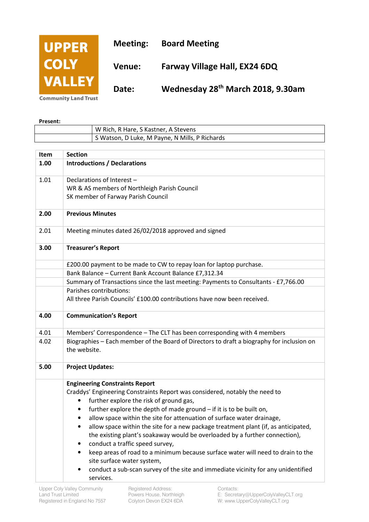

**Community Land Trust** 

| Present: |                                                |
|----------|------------------------------------------------|
|          | W Rich, R Hare, S Kastner, A Stevens           |
|          | S Watson, D Luke, M Payne, N Mills, P Richards |

| Item | <b>Section</b>                                                                                            |
|------|-----------------------------------------------------------------------------------------------------------|
| 1.00 | <b>Introductions / Declarations</b>                                                                       |
| 1.01 | Declarations of Interest -                                                                                |
|      | WR & AS members of Northleigh Parish Council                                                              |
|      | SK member of Farway Parish Council                                                                        |
| 2.00 | <b>Previous Minutes</b>                                                                                   |
| 2.01 | Meeting minutes dated 26/02/2018 approved and signed                                                      |
| 3.00 | <b>Treasurer's Report</b>                                                                                 |
|      | £200.00 payment to be made to CW to repay loan for laptop purchase.                                       |
|      | Bank Balance - Current Bank Account Balance £7,312.34                                                     |
|      | Summary of Transactions since the last meeting: Payments to Consultants - £7,766.00                       |
|      | Parishes contributions:                                                                                   |
|      | All three Parish Councils' £100.00 contributions have now been received.                                  |
| 4.00 | <b>Communication's Report</b>                                                                             |
| 4.01 | Members' Correspondence - The CLT has been corresponding with 4 members                                   |
| 4.02 | Biographies - Each member of the Board of Directors to draft a biography for inclusion on<br>the website. |
| 5.00 | <b>Project Updates:</b>                                                                                   |
|      | <b>Engineering Constraints Report</b>                                                                     |
|      | Craddys' Engineering Constraints Report was considered, notably the need to                               |
|      | further explore the risk of ground gas,<br>٠                                                              |
|      | further explore the depth of made ground - if it is to be built on,<br>$\bullet$                          |
|      | allow space within the site for attenuation of surface water drainage,                                    |
|      | allow space within the site for a new package treatment plant (if, as anticipated,                        |
|      | the existing plant's soakaway would be overloaded by a further connection),                               |
|      | conduct a traffic speed survey,                                                                           |
|      | keep areas of road to a minimum because surface water will need to drain to the<br>$\bullet$              |
|      | site surface water system,                                                                                |
|      | conduct a sub-scan survey of the site and immediate vicinity for any unidentified                         |
|      | services.                                                                                                 |